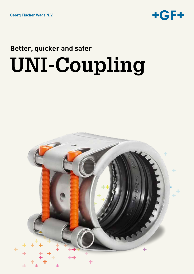

# **Better, quicker and safer UNI-Coupling**

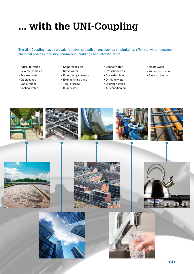# **... with the UNI-Coupling**

The UNI-Coupling has approvals for several applications such as shipbuilding, offshore, water treatment, chemical process industry, commercial buildings and infrastructure:

- (Ultra) filtration
- Reverse osmosis
- Process water
- Oil pipelines
- Gas turbines
- Cooling water
- Compressed air
- Rinse water
- Emergency showers
- Extinguishing lines
- Tank storage
- Bilge water
- Ballast water
- Pressurized air
- Sprinkler lines
- Drinking water
- District heating
- Air conditioning
- Waste water
- Water distribution
- Gas distribution

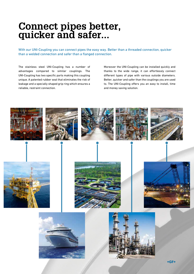### **Connect pipes better, quicker and safer...**

With our UNI-Coupling you can connect pipes the easy way. Better than a threaded connection, quicker than a welded connection and safer than a flanged connection.

The stainless steel UNI-Coupling has a number of advantages compared to similar couplings. The UNI-Coupling has two specific parts making this coupling unique. A patented rubber seal that eliminates the risk of leakage and a specially shaped grip ring which ensures a reliable, restraint connection.

Moreover the UNI-Coupling can be installed quickly and thanks to the wide range, it can effortlessly connect different types of pipe with various outside diameters. Better, quicker and safer than the couplings you are used to. The UNI-Coupling offers you an easy to install, time and money saving solution.

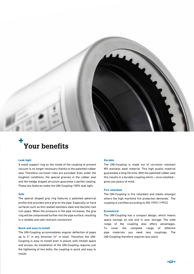

### **+ Your benefits**

#### **Leak tight**

A metal support ring on the inside of the coupling to prevent vacuum is no longer necessary thanks to the patented rubber seal. Therefore corrosion risks are excluded. Even under the toughest conditions, the special grooves in the rubber seal and the wedge shaped structure guarantee a perfect sealing. These two features make the UNI-Coupling 100% leak tight.

### **Safe**

The special shaped grip ring features a patented spherical profile that provides extra grip on the pipe. Especially on hard surfaces such as thin-walled stainless steel and (ductile) cast iron pipes. When the pressure in the pipe increases, the grip ring will be compressed further into the pipe surface, resulting in a reliable and safe restraint connection!

#### **Quick and easy to install**

The UNI-Coupling accommodates angular deflection of pipes up to 2° in any direction (4° in total). Therefore the UNI-Coupling is easy to install even in places with limited space and access. As installation of the UNI-Coupling requires just the tightening of two bolts, the coupling is quick and easy to install.

### **Durable**

The UNI-Coupling is made out of corrosion resistant W5 stainless steel material. This high quality material guarantees a long life time. With the patented rubber seal this results in a durable coupling which – once installed – gives you peace of mind.

### **Fire retardant**

The UNI-Coupling is fire retardant and meets amongst others the high maritime fire protection demands. The coupling is certified according to ISO 19921/19922.

### **Economical**

The UNI-Coupling has a compact design, which means space savings on site and in your storage. The wide range of the coupling also offers advantages. To cover the complete range of different pipe materials you need less couplings. The UNI-Coupling therefore requires less stock.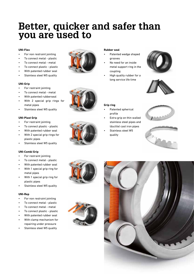## **Better, quicker and safer than you are used to**

### **UNI-Flex**

- For non restraint jointing
- To connect metal plastic
- To connect metal metal
- To connect plastic plastic
- With patented rubber seal
- Stainless steel W5 quality

### **UNI-Grip**

- For restraint jointing
- To connect metal metal
- With patented rubberseal
- With 2 special grip rings for metal pipes
- Stainless steel W5 quality

### **UNI-Plast Grip**

- For restraint jointing
- To connect plastic plastic
- With patented rubber seal
- With 2 special grip rings for plastic pipes
- Stainless steel W5 quality

### **UNI-Combi Grip**

- For restraint jointing
- To connect metal plastic
- With patented rubber seal
- With 1 special grip ring for metal pipes
- With 1 special grip ring for plastic pipes
- Stainless steel W5 quality

### **UNI-Rep**

- For non restraint jointing
- To connect metal plastic
- To connect metal metal
- To connect plastic plastic
- With patented rubber seal
- With clamp mechanism for repairing under pressure
- Stainless steel W5 quality

### **Rubber seal**

- Patented wedge shaped grooves
- No need for an inside metal support ring in the coupling
- High quality rubber for a long service life time





### **Grip ring**

- Patented spherical profile
- Extra grip on thin walled stainless steel pipes and (ductile) cast iron pipes
- Stainless steel W5 quality